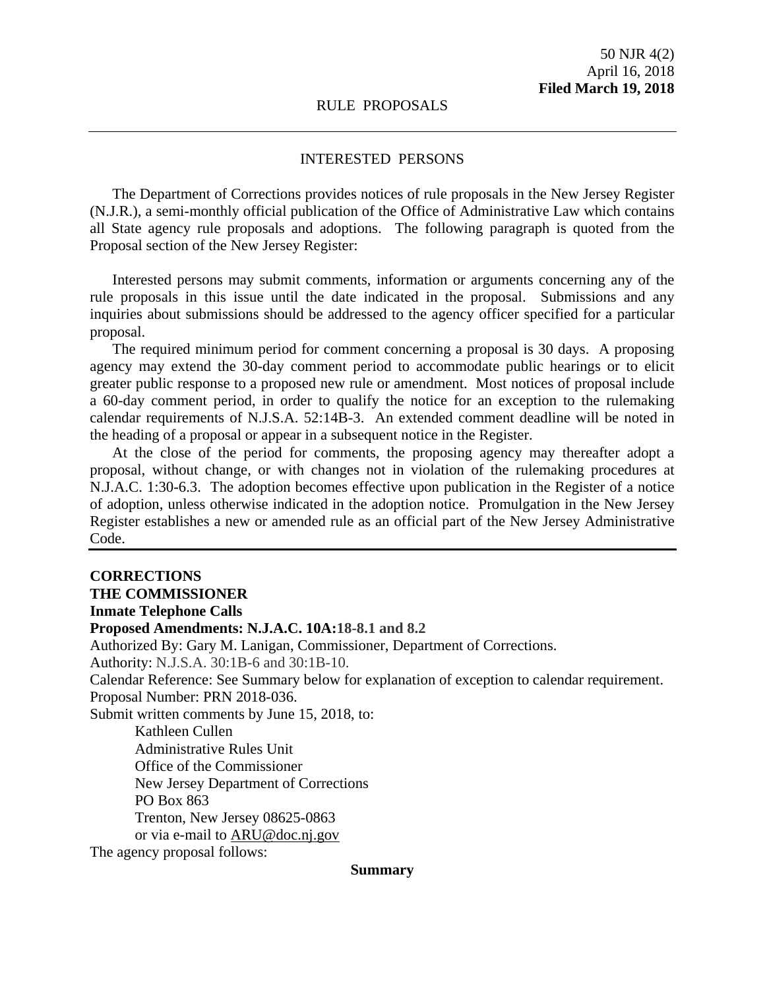# INTERESTED PERSONS

The Department of Corrections provides notices of rule proposals in the New Jersey Register (N.J.R.), a semi-monthly official publication of the Office of Administrative Law which contains all State agency rule proposals and adoptions. The following paragraph is quoted from the Proposal section of the New Jersey Register:

Interested persons may submit comments, information or arguments concerning any of the rule proposals in this issue until the date indicated in the proposal. Submissions and any inquiries about submissions should be addressed to the agency officer specified for a particular proposal.

The required minimum period for comment concerning a proposal is 30 days. A proposing agency may extend the 30-day comment period to accommodate public hearings or to elicit greater public response to a proposed new rule or amendment. Most notices of proposal include a 60-day comment period, in order to qualify the notice for an exception to the rulemaking calendar requirements of N.J.S.A. 52:14B-3. An extended comment deadline will be noted in the heading of a proposal or appear in a subsequent notice in the Register.

At the close of the period for comments, the proposing agency may thereafter adopt a proposal, without change, or with changes not in violation of the rulemaking procedures at N.J.A.C. 1:30-6.3. The adoption becomes effective upon publication in the Register of a notice of adoption, unless otherwise indicated in the adoption notice. Promulgation in the New Jersey Register establishes a new or amended rule as an official part of the New Jersey Administrative Code.

## **CORRECTIONS**

**THE COMMISSIONER** 

### **Inmate Telephone Calls**

### **Proposed Amendments: N.J.A.C. 10A:18-8.1 and 8.2**

Authorized By: Gary M. Lanigan, Commissioner, Department of Corrections. Authority: N.J.S.A. 30:1B-6 and 30:1B-10. Calendar Reference: See Summary below for explanation of exception to calendar requirement. Proposal Number: PRN 2018-036. Submit written comments by June 15, 2018, to: Kathleen Cullen Administrative Rules Unit Office of the Commissioner New Jersey Department of Corrections PO Box 863 Trenton, New Jersey 08625-0863 or via e-mail to ARU@doc.nj.gov The agency proposal follows:

**Summary**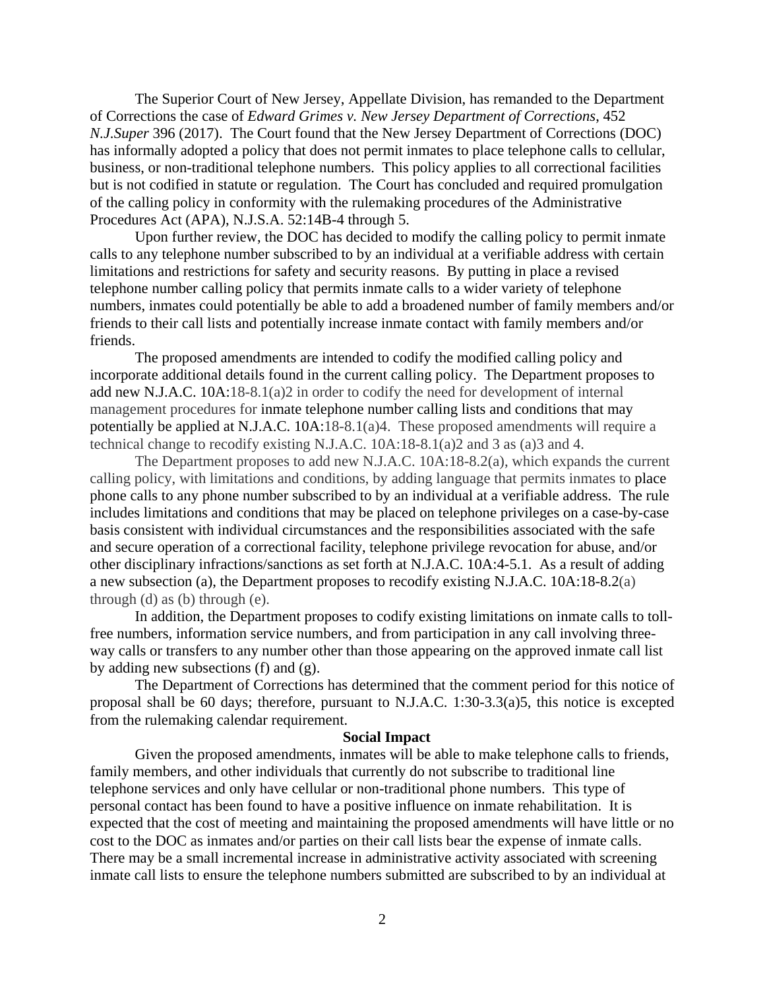The Superior Court of New Jersey, Appellate Division, has remanded to the Department of Corrections the case of *Edward Grimes v. New Jersey Department of Corrections*, 452 *N.J.Super* 396 (2017). The Court found that the New Jersey Department of Corrections (DOC) has informally adopted a policy that does not permit inmates to place telephone calls to cellular, business, or non-traditional telephone numbers. This policy applies to all correctional facilities but is not codified in statute or regulation. The Court has concluded and required promulgation of the calling policy in conformity with the rulemaking procedures of the Administrative Procedures Act (APA), N.J.S.A. 52:14B-4 through 5.

Upon further review, the DOC has decided to modify the calling policy to permit inmate calls to any telephone number subscribed to by an individual at a verifiable address with certain limitations and restrictions for safety and security reasons. By putting in place a revised telephone number calling policy that permits inmate calls to a wider variety of telephone numbers, inmates could potentially be able to add a broadened number of family members and/or friends to their call lists and potentially increase inmate contact with family members and/or friends.

The proposed amendments are intended to codify the modified calling policy and incorporate additional details found in the current calling policy. The Department proposes to add new N.J.A.C. 10A:18-8.1(a)2 in order to codify the need for development of internal management procedures for inmate telephone number calling lists and conditions that may potentially be applied at N.J.A.C. 10A:18-8.1(a)4. These proposed amendments will require a technical change to recodify existing N.J.A.C. 10A:18-8.1(a)2 and 3 as (a)3 and 4.

The Department proposes to add new N.J.A.C. 10A:18-8.2(a), which expands the current calling policy, with limitations and conditions, by adding language that permits inmates to place phone calls to any phone number subscribed to by an individual at a verifiable address. The rule includes limitations and conditions that may be placed on telephone privileges on a case-by-case basis consistent with individual circumstances and the responsibilities associated with the safe and secure operation of a correctional facility, telephone privilege revocation for abuse, and/or other disciplinary infractions/sanctions as set forth at N.J.A.C. 10A:4-5.1. As a result of adding a new subsection (a), the Department proposes to recodify existing N.J.A.C. 10A:18-8.2(a) through (d) as (b) through (e).

In addition, the Department proposes to codify existing limitations on inmate calls to tollfree numbers, information service numbers, and from participation in any call involving threeway calls or transfers to any number other than those appearing on the approved inmate call list by adding new subsections (f) and  $(g)$ .

The Department of Corrections has determined that the comment period for this notice of proposal shall be 60 days; therefore, pursuant to N.J.A.C. 1:30-3.3(a)5, this notice is excepted from the rulemaking calendar requirement.

#### **Social Impact**

Given the proposed amendments, inmates will be able to make telephone calls to friends, family members, and other individuals that currently do not subscribe to traditional line telephone services and only have cellular or non-traditional phone numbers. This type of personal contact has been found to have a positive influence on inmate rehabilitation. It is expected that the cost of meeting and maintaining the proposed amendments will have little or no cost to the DOC as inmates and/or parties on their call lists bear the expense of inmate calls. There may be a small incremental increase in administrative activity associated with screening inmate call lists to ensure the telephone numbers submitted are subscribed to by an individual at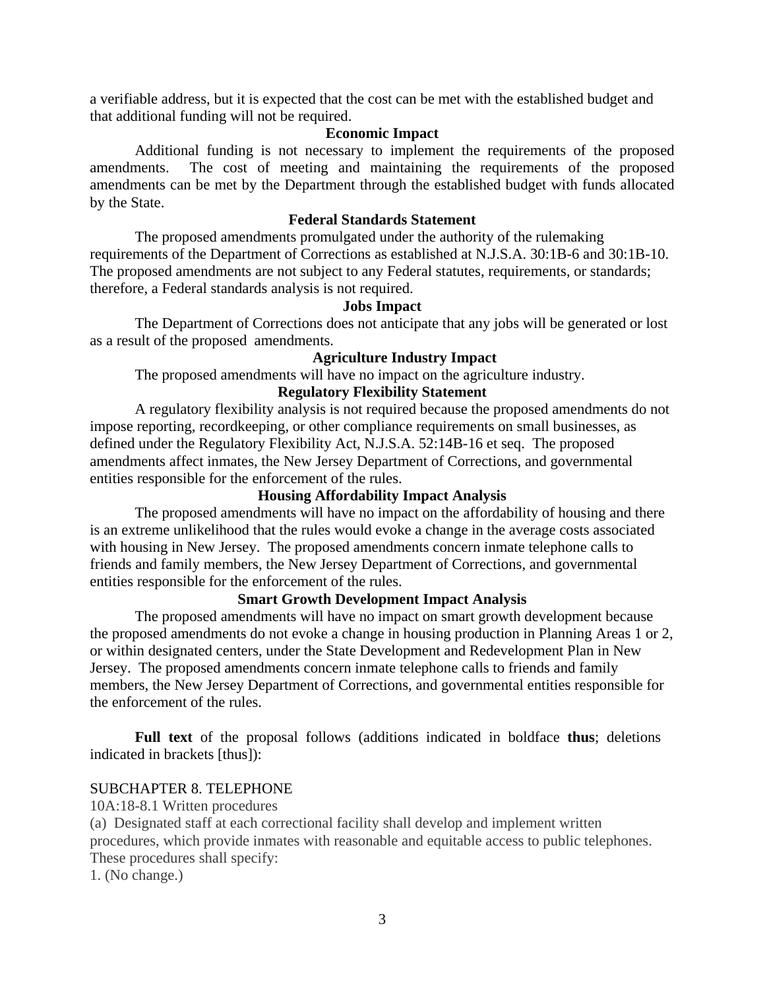a verifiable address, but it is expected that the cost can be met with the established budget and that additional funding will not be required.

## **Economic Impact**

Additional funding is not necessary to implement the requirements of the proposed amendments. The cost of meeting and maintaining the requirements of the proposed amendments can be met by the Department through the established budget with funds allocated by the State.

# **Federal Standards Statement**

The proposed amendments promulgated under the authority of the rulemaking requirements of the Department of Corrections as established at N.J.S.A. 30:1B-6 and 30:1B-10. The proposed amendments are not subject to any Federal statutes, requirements, or standards; therefore, a Federal standards analysis is not required.

#### **Jobs Impact**

The Department of Corrections does not anticipate that any jobs will be generated or lost as a result of the proposed amendments.

## **Agriculture Industry Impact**

The proposed amendments will have no impact on the agriculture industry.

# **Regulatory Flexibility Statement**

A regulatory flexibility analysis is not required because the proposed amendments do not impose reporting, recordkeeping, or other compliance requirements on small businesses, as defined under the Regulatory Flexibility Act, N.J.S.A. 52:14B-16 et seq. The proposed amendments affect inmates, the New Jersey Department of Corrections, and governmental entities responsible for the enforcement of the rules.

# **Housing Affordability Impact Analysis**

The proposed amendments will have no impact on the affordability of housing and there is an extreme unlikelihood that the rules would evoke a change in the average costs associated with housing in New Jersey. The proposed amendments concern inmate telephone calls to friends and family members, the New Jersey Department of Corrections, and governmental entities responsible for the enforcement of the rules.

# **Smart Growth Development Impact Analysis**

The proposed amendments will have no impact on smart growth development because the proposed amendments do not evoke a change in housing production in Planning Areas 1 or 2, or within designated centers, under the State Development and Redevelopment Plan in New Jersey. The proposed amendments concern inmate telephone calls to friends and family members, the New Jersey Department of Corrections, and governmental entities responsible for the enforcement of the rules.

**Full text** of the proposal follows (additions indicated in boldface **thus**; deletions indicated in brackets [thus]):

### SUBCHAPTER 8. TELEPHONE

10A:18-8.1 Written procedures

(a) Designated staff at each correctional facility shall develop and implement written procedures, which provide inmates with reasonable and equitable access to public telephones. These procedures shall specify:

1. (No change.)